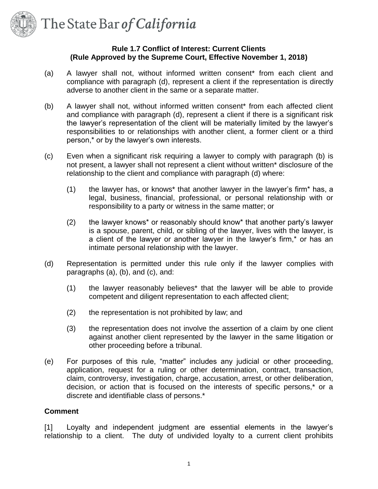

The State Bar of California

### **Rule 1.7 Conflict of Interest: Current Clients (Rule Approved by the Supreme Court, Effective November 1, 2018)**

- (a) A lawyer shall not, without informed written consent\* from each client and compliance with paragraph (d), represent a client if the representation is directly adverse to another client in the same or a separate matter.
- (b) A lawyer shall not, without informed written consent\* from each affected client and compliance with paragraph (d), represent a client if there is a significant risk the lawyer's representation of the client will be materially limited by the lawyer's responsibilities to or relationships with another client, a former client or a third person,\* or by the lawyer's own interests.
- (c) Even when a significant risk requiring a lawyer to comply with paragraph (b) is not present, a lawyer shall not represent a client without written\* disclosure of the relationship to the client and compliance with paragraph (d) where:
	- (1) the lawyer has, or knows\* that another lawyer in the lawyer's firm\* has, a legal, business, financial, professional, or personal relationship with or responsibility to a party or witness in the same matter; or
	- (2) the lawyer knows\* or reasonably should know\* that another party's lawyer is a spouse, parent, child, or sibling of the lawyer, lives with the lawyer, is a client of the lawyer or another lawyer in the lawyer's firm,\* or has an intimate personal relationship with the lawyer.
- (d) Representation is permitted under this rule only if the lawyer complies with paragraphs (a), (b), and (c), and:
	- (1) the lawyer reasonably believes\* that the lawyer will be able to provide competent and diligent representation to each affected client;
	- (2) the representation is not prohibited by law; and
	- (3) the representation does not involve the assertion of a claim by one client against another client represented by the lawyer in the same litigation or other proceeding before a tribunal.
- (e) For purposes of this rule, "matter" includes any judicial or other proceeding, application, request for a ruling or other determination, contract, transaction, claim, controversy, investigation, charge, accusation, arrest, or other deliberation, decision, or action that is focused on the interests of specific persons,\* or a discrete and identifiable class of persons.\*

## **Comment**

[1] Loyalty and independent judgment are essential elements in the lawyer's relationship to a client. The duty of undivided loyalty to a current client prohibits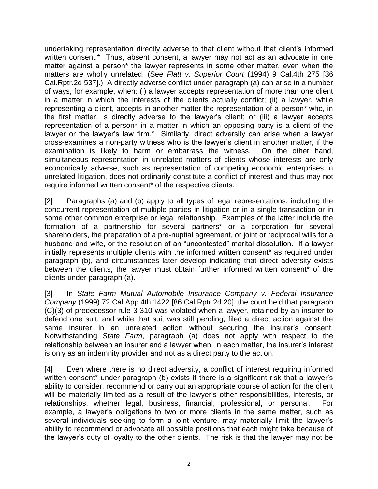undertaking representation directly adverse to that client without that client's informed written consent.\* Thus, absent consent, a lawyer may not act as an advocate in one matter against a person<sup>\*</sup> the lawyer represents in some other matter, even when the matters are wholly unrelated. (See *Flatt v. Superior Court* (1994) 9 Cal.4th 275 [36 Cal.Rptr.2d 537].) A directly adverse conflict under paragraph (a) can arise in a number of ways, for example, when: (i) a lawyer accepts representation of more than one client in a matter in which the interests of the clients actually conflict; (ii) a lawyer, while representing a client, accepts in another matter the representation of a person\* who, in the first matter, is directly adverse to the lawyer's client; or (iii) a lawyer accepts representation of a person\* in a matter in which an opposing party is a client of the lawyer or the lawyer's law firm.\* Similarly, direct adversity can arise when a lawyer cross-examines a non-party witness who is the lawyer's client in another matter, if the examination is likely to harm or embarrass the witness. On the other hand, simultaneous representation in unrelated matters of clients whose interests are only economically adverse, such as representation of competing economic enterprises in unrelated litigation, does not ordinarily constitute a conflict of interest and thus may not require informed written consent\* of the respective clients.

[2] Paragraphs (a) and (b) apply to all types of legal representations, including the concurrent representation of multiple parties in litigation or in a single transaction or in some other common enterprise or legal relationship. Examples of the latter include the formation of a partnership for several partners\* or a corporation for several shareholders, the preparation of a pre-nuptial agreement, or joint or reciprocal wills for a husband and wife, or the resolution of an "uncontested" marital dissolution. If a lawyer initially represents multiple clients with the informed written consent<sup>\*</sup> as required under paragraph (b), and circumstances later develop indicating that direct adversity exists between the clients, the lawyer must obtain further informed written consent\* of the clients under paragraph (a).

[3] In *State Farm Mutual Automobile Insurance Company v. Federal Insurance Company* (1999) 72 Cal.App.4th 1422 [86 Cal.Rptr.2d 20], the court held that paragraph (C)(3) of predecessor rule 3-310 was violated when a lawyer, retained by an insurer to defend one suit, and while that suit was still pending, filed a direct action against the same insurer in an unrelated action without securing the insurer's consent. Notwithstanding *State Farm*, paragraph (a) does not apply with respect to the relationship between an insurer and a lawyer when, in each matter, the insurer's interest is only as an indemnity provider and not as a direct party to the action.

[4] Even where there is no direct adversity, a conflict of interest requiring informed written consent<sup>\*</sup> under paragraph (b) exists if there is a significant risk that a lawyer's ability to consider, recommend or carry out an appropriate course of action for the client will be materially limited as a result of the lawyer's other responsibilities, interests, or relationships, whether legal, business, financial, professional, or personal. For example, a lawyer's obligations to two or more clients in the same matter, such as several individuals seeking to form a joint venture, may materially limit the lawyer's ability to recommend or advocate all possible positions that each might take because of the lawyer's duty of loyalty to the other clients. The risk is that the lawyer may not be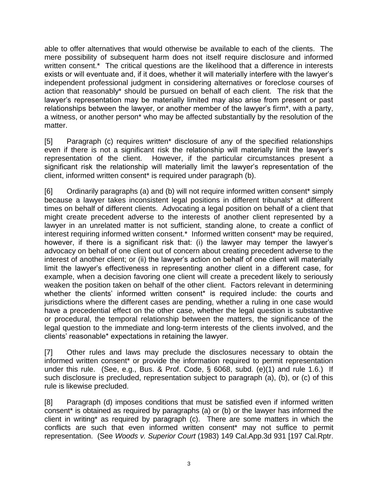able to offer alternatives that would otherwise be available to each of the clients. The mere possibility of subsequent harm does not itself require disclosure and informed written consent.\* The critical questions are the likelihood that a difference in interests exists or will eventuate and, if it does, whether it will materially interfere with the lawyer's independent professional judgment in considering alternatives or foreclose courses of action that reasonably\* should be pursued on behalf of each client. The risk that the lawyer's representation may be materially limited may also arise from present or past relationships between the lawyer, or another member of the lawyer's firm\*, with a party, a witness, or another person\* who may be affected substantially by the resolution of the matter.

[5] Paragraph (c) requires written\* disclosure of any of the specified relationships even if there is not a significant risk the relationship will materially limit the lawyer's representation of the client. However, if the particular circumstances present a significant risk the relationship will materially limit the lawyer's representation of the client, informed written consent\* is required under paragraph (b).

[6] Ordinarily paragraphs (a) and (b) will not require informed written consent\* simply because a lawyer takes inconsistent legal positions in different tribunals\* at different times on behalf of different clients. Advocating a legal position on behalf of a client that might create precedent adverse to the interests of another client represented by a lawyer in an unrelated matter is not sufficient, standing alone, to create a conflict of interest requiring informed written consent.\* Informed written consent\* may be required, however, if there is a significant risk that: (i) the lawyer may temper the lawyer's advocacy on behalf of one client out of concern about creating precedent adverse to the interest of another client; or (ii) the lawyer's action on behalf of one client will materially limit the lawyer's effectiveness in representing another client in a different case, for example, when a decision favoring one client will create a precedent likely to seriously weaken the position taken on behalf of the other client. Factors relevant in determining whether the clients' informed written consent\* is required include: the courts and jurisdictions where the different cases are pending, whether a ruling in one case would have a precedential effect on the other case, whether the legal question is substantive or procedural, the temporal relationship between the matters, the significance of the legal question to the immediate and long-term interests of the clients involved, and the clients' reasonable\* expectations in retaining the lawyer.

[7] Other rules and laws may preclude the disclosures necessary to obtain the informed written consent\* or provide the information required to permit representation under this rule. (See, e.g., Bus. & Prof. Code, § 6068, subd. (e)(1) and rule 1.6.) If such disclosure is precluded, representation subject to paragraph (a), (b), or (c) of this rule is likewise precluded.

[8] Paragraph (d) imposes conditions that must be satisfied even if informed written consent\* is obtained as required by paragraphs (a) or (b) or the lawyer has informed the client in writing\* as required by paragraph (c). There are some matters in which the conflicts are such that even informed written consent\* may not suffice to permit representation. (See *Woods v. Superior Court* (1983) 149 Cal.App.3d 931 [197 Cal.Rptr.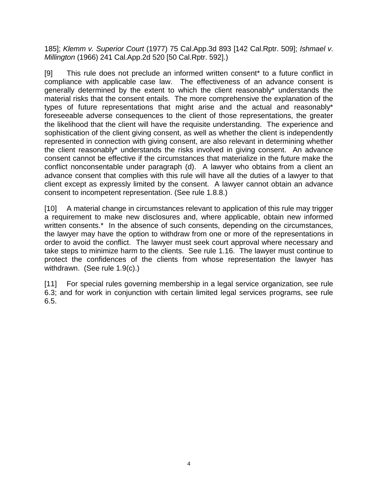185]; *Klemm v. Superior Court* (1977) 75 Cal.App.3d 893 [142 Cal.Rptr. 509]; *Ishmael v. Millington* (1966) 241 Cal.App.2d 520 [50 Cal.Rptr. 592].)

[9] This rule does not preclude an informed written consent\* to a future conflict in compliance with applicable case law. The effectiveness of an advance consent is generally determined by the extent to which the client reasonably\* understands the material risks that the consent entails. The more comprehensive the explanation of the types of future representations that might arise and the actual and reasonably\* foreseeable adverse consequences to the client of those representations, the greater the likelihood that the client will have the requisite understanding. The experience and sophistication of the client giving consent, as well as whether the client is independently represented in connection with giving consent, are also relevant in determining whether the client reasonably\* understands the risks involved in giving consent. An advance consent cannot be effective if the circumstances that materialize in the future make the conflict nonconsentable under paragraph (d). A lawyer who obtains from a client an advance consent that complies with this rule will have all the duties of a lawyer to that client except as expressly limited by the consent. A lawyer cannot obtain an advance consent to incompetent representation. (See rule 1.8.8.)

[10] A material change in circumstances relevant to application of this rule may trigger a requirement to make new disclosures and, where applicable, obtain new informed written consents.\* In the absence of such consents, depending on the circumstances, the lawyer may have the option to withdraw from one or more of the representations in order to avoid the conflict. The lawyer must seek court approval where necessary and take steps to minimize harm to the clients. See rule 1.16. The lawyer must continue to protect the confidences of the clients from whose representation the lawyer has withdrawn. (See rule 1.9(c).)

[11] For special rules governing membership in a legal service organization, see rule 6.3; and for work in conjunction with certain limited legal services programs, see rule 6.5.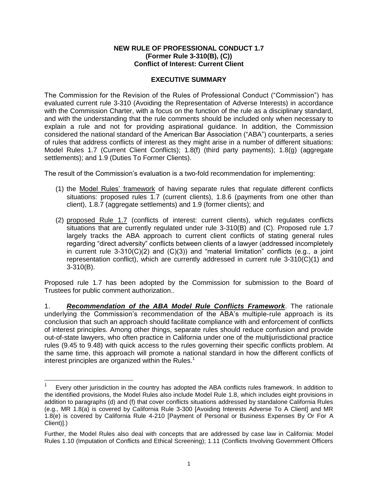#### **NEW RULE OF PROFESSIONAL CONDUCT 1.7 (Former Rule 3-310(B), (C)) Conflict of Interest: Current Client**

#### **EXECUTIVE SUMMARY**

The Commission for the Revision of the Rules of Professional Conduct ("Commission") has evaluated current rule 3-310 (Avoiding the Representation of Adverse Interests) in accordance with the Commission Charter, with a focus on the function of the rule as a disciplinary standard, and with the understanding that the rule comments should be included only when necessary to explain a rule and not for providing aspirational guidance. In addition, the Commission considered the national standard of the American Bar Association ("ABA") counterparts, a series of rules that address conflicts of interest as they might arise in a number of different situations: Model Rules 1.7 (Current Client Conflicts); 1.8(f) (third party payments); 1.8(g) (aggregate settlements); and 1.9 (Duties To Former Clients).

The result of the Commission's evaluation is a two-fold recommendation for implementing:

- (1) the Model Rules' framework of having separate rules that regulate different conflicts situations: proposed rules 1.7 (current clients), 1.8.6 (payments from one other than client), 1.8.7 (aggregate settlements) and 1.9 (former clients); and
- (2) proposed Rule 1.7 (conflicts of interest: current clients), which regulates conflicts situations that are currently regulated under rule 3-310(B) and (C). Proposed rule 1.7 largely tracks the ABA approach to current client conflicts of stating general rules regarding "direct adversity" conflicts between clients of a lawyer (addressed incompletely in current rule  $3-310(C)(2)$  and  $(C)(3)$ ) and "material limitation" conflicts (e.g., a joint representation conflict), which are currently addressed in current rule 3-310(C)(1) and 3-310(B).

Proposed rule 1.7 has been adopted by the Commission for submission to the Board of Trustees for public comment authorization..

1. *Recommendation of the ABA Model Rule Conflicts Framework*. The rationale underlying the Commission's recommendation of the ABA's multiple-rule approach is its conclusion that such an approach should facilitate compliance with and enforcement of conflicts of interest principles. Among other things, separate rules should reduce confusion and provide out-of-state lawyers, who often practice in California under one of the multijurisdictional practice rules (9.45 to 9.48) with quick access to the rules governing their specific conflicts problem. At the same time, this approach will promote a national standard in how the different conflicts of interest principles are organized within the Rules.<sup>1</sup>

<sup>1</sup> Every other jurisdiction in the country has adopted the ABA conflicts rules framework. In addition to the identified provisions, the Model Rules also include Model Rule 1.8, which includes eight provisions in addition to paragraphs (d) and (f) that cover conflicts situations addressed by standalone California Rules (e.g., MR 1.8(a) is covered by California Rule 3-300 [Avoiding Interests Adverse To A Client] and MR 1.8(e) is covered by California Rule 4-210 [Payment of Personal or Business Expenses By Or For A Client)].)

Further, the Model Rules also deal with concepts that are addressed by case law in California: Model Rules 1.10 (Imputation of Conflicts and Ethical Screening); 1.11 (Conflicts Involving Government Officers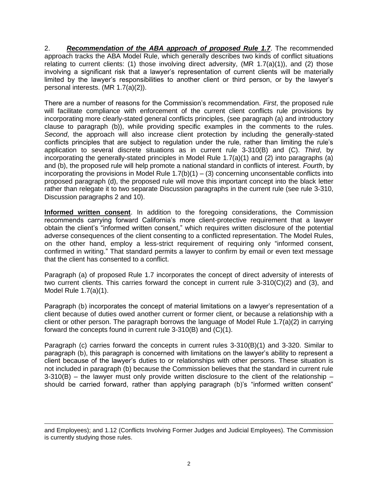2. *Recommendation of the ABA approach of proposed Rule 1.7*. The recommended approach tracks the ABA Model Rule, which generally describes two kinds of conflict situations relating to current clients: (1) those involving direct adversity,  $(MR 1.7(a)(1))$ , and (2) those involving a significant risk that a lawyer's representation of current clients will be materially limited by the lawyer's responsibilities to another client or third person, or by the lawyer's personal interests. (MR 1.7(a)(2)).

There are a number of reasons for the Commission's recommendation. *First*, the proposed rule will facilitate compliance with enforcement of the current client conflicts rule provisions by incorporating more clearly-stated general conflicts principles, (see paragraph (a) and introductory clause to paragraph (b)), while providing specific examples in the comments to the rules. *Second*, the approach will also increase client protection by including the generally-stated conflicts principles that are subject to regulation under the rule, rather than limiting the rule's application to several discrete situations as in current rule 3-310(B) and (C). *Third*, by incorporating the generally-stated principles in Model Rule 1.7(a)(1) and (2) into paragraphs (a) and (b), the proposed rule will help promote a national standard in conflicts of interest. *Fourth*, by incorporating the provisions in Model Rule  $1.7(b)(1) - (3)$  concerning unconsentable conflicts into proposed paragraph (d), the proposed rule will move this important concept into the black letter rather than relegate it to two separate Discussion paragraphs in the current rule (see rule 3-310, Discussion paragraphs 2 and 10).

**Informed written consent**. In addition to the foregoing considerations, the Commission recommends carrying forward California's more client-protective requirement that a lawyer obtain the client's "informed written consent," which requires written disclosure of the potential adverse consequences of the client consenting to a conflicted representation. The Model Rules, on the other hand, employ a less-strict requirement of requiring only "informed consent, confirmed in writing." That standard permits a lawyer to confirm by email or even text message that the client has consented to a conflict.

Paragraph (a) of proposed Rule 1.7 incorporates the concept of direct adversity of interests of two current clients. This carries forward the concept in current rule 3-310(C)(2) and (3), and Model Rule 1.7(a)(1).

Paragraph (b) incorporates the concept of material limitations on a lawyer's representation of a client because of duties owed another current or former client, or because a relationship with a client or other person. The paragraph borrows the language of Model Rule 1.7(a)(2) in carrying forward the concepts found in current rule 3-310(B) and (C)(1).

Paragraph (c) carries forward the concepts in current rules 3-310(B)(1) and 3-320. Similar to paragraph (b), this paragraph is concerned with limitations on the lawyer's ability to represent a client because of the lawyer's duties to or relationships with other persons. These situation is not included in paragraph (b) because the Commission believes that the standard in current rule  $3-310(B)$  – the lawyer must only provide written disclosure to the client of the relationship – should be carried forward, rather than applying paragraph (b)'s "informed written consent"

and Employees); and 1.12 (Conflicts Involving Former Judges and Judicial Employees). The Commission is currently studying those rules.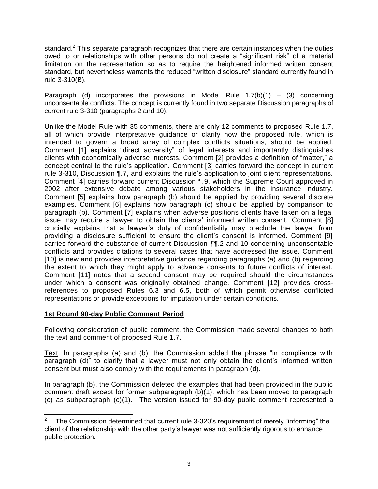standard.<sup>2</sup> This separate paragraph recognizes that there are certain instances when the duties owed to or relationships with other persons do not create a "significant risk" of a material limitation on the representation so as to require the heightened informed written consent standard, but nevertheless warrants the reduced "written disclosure" standard currently found in rule 3-310(B).

Paragraph (d) incorporates the provisions in Model Rule  $1.7(b)(1) - (3)$  concerning unconsentable conflicts. The concept is currently found in two separate Discussion paragraphs of current rule 3-310 (paragraphs 2 and 10).

Unlike the Model Rule with 35 comments, there are only 12 comments to proposed Rule 1.7, all of which provide interpretative guidance or clarify how the proposed rule, which is intended to govern a broad array of complex conflicts situations, should be applied. Comment [1] explains "direct adversity" of legal interests and importantly distinguishes clients with economically adverse interests. Comment [2] provides a definition of "matter," a concept central to the rule's application. Comment [3] carries forward the concept in current rule 3-310, Discussion ¶.7, and explains the rule's application to joint client representations. Comment [4] carries forward current Discussion ¶.9, which the Supreme Court approved in 2002 after extensive debate among various stakeholders in the insurance industry. Comment [5] explains how paragraph (b) should be applied by providing several discrete examples. Comment [6] explains how paragraph (c) should be applied by comparison to paragraph (b). Comment [7] explains when adverse positions clients have taken on a legal issue may require a lawyer to obtain the clients' informed written consent. Comment [8] crucially explains that a lawyer's duty of confidentiality may preclude the lawyer from providing a disclosure sufficient to ensure the client's consent is informed. Comment [9] carries forward the substance of current Discussion ¶¶.2 and 10 concerning unconsentable conflicts and provides citations to several cases that have addressed the issue. Comment [10] is new and provides interpretative guidance regarding paragraphs (a) and (b) regarding the extent to which they might apply to advance consents to future conflicts of interest. Comment [11] notes that a second consent may be required should the circumstances under which a consent was originally obtained change. Comment [12] provides crossreferences to proposed Rules 6.3 and 6.5, both of which permit otherwise conflicted representations or provide exceptions for imputation under certain conditions.

## **1st Round 90-day Public Comment Period**

Following consideration of public comment, the Commission made several changes to both the text and comment of proposed Rule 1.7.

Text. In paragraphs (a) and (b), the Commission added the phrase "in compliance with paragraph (d)" to clarify that a lawyer must not only obtain the client's informed written consent but must also comply with the requirements in paragraph (d).

In paragraph (b), the Commission deleted the examples that had been provided in the public comment draft except for former subparagraph (b)(1), which has been moved to paragraph (c) as subparagraph (c)(1). The version issued for 90-day public comment represented a

 $\overline{2}$ <sup>2</sup> The Commission determined that current rule 3-320's requirement of merely "informing" the client of the relationship with the other party's lawyer was not sufficiently rigorous to enhance public protection.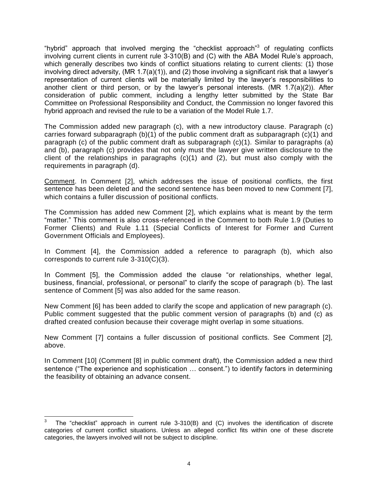"hybrid" approach that involved merging the "checklist approach"<sup>3</sup> of regulating conflicts involving current clients in current rule 3-310(B) and (C) with the ABA Model Rule's approach, which generally describes two kinds of conflict situations relating to current clients: (1) those involving direct adversity,  $(MR 1.7(a)(1))$ , and  $(2)$  those involving a significant risk that a lawyer's representation of current clients will be materially limited by the lawyer's responsibilities to another client or third person, or by the lawyer's personal interests. (MR 1.7(a)(2)). After consideration of public comment, including a lengthy letter submitted by the State Bar Committee on Professional Responsibility and Conduct, the Commission no longer favored this hybrid approach and revised the rule to be a variation of the Model Rule 1.7.

The Commission added new paragraph (c), with a new introductory clause. Paragraph (c) carries forward subparagraph (b)(1) of the public comment draft as subparagraph (c)(1) and paragraph (c) of the public comment draft as subparagraph (c)(1). Similar to paragraphs (a) and (b), paragraph (c) provides that not only must the lawyer give written disclosure to the client of the relationships in paragraphs (c)(1) and (2), but must also comply with the requirements in paragraph (d).

Comment. In Comment [2], which addresses the issue of positional conflicts, the first sentence has been deleted and the second sentence has been moved to new Comment [7], which contains a fuller discussion of positional conflicts.

The Commission has added new Comment [2], which explains what is meant by the term "matter." This comment is also cross-referenced in the Comment to both Rule 1.9 (Duties to Former Clients) and Rule 1.11 (Special Conflicts of Interest for Former and Current Government Officials and Employees).

In Comment [4], the Commission added a reference to paragraph (b), which also corresponds to current rule 3-310(C)(3).

In Comment [5], the Commission added the clause "or relationships, whether legal, business, financial, professional, or personal" to clarify the scope of paragraph (b). The last sentence of Comment [5] was also added for the same reason.

New Comment [6] has been added to clarify the scope and application of new paragraph (c). Public comment suggested that the public comment version of paragraphs (b) and (c) as drafted created confusion because their coverage might overlap in some situations.

New Comment [7] contains a fuller discussion of positional conflicts. See Comment [2], above.

In Comment [10] (Comment [8] in public comment draft), the Commission added a new third sentence ("The experience and sophistication … consent.") to identify factors in determining the feasibility of obtaining an advance consent.

 $\overline{a}$ 

<sup>3</sup> The "checklist" approach in current rule 3-310(B) and (C) involves the identification of discrete categories of current conflict situations. Unless an alleged conflict fits within one of these discrete categories, the lawyers involved will not be subject to discipline.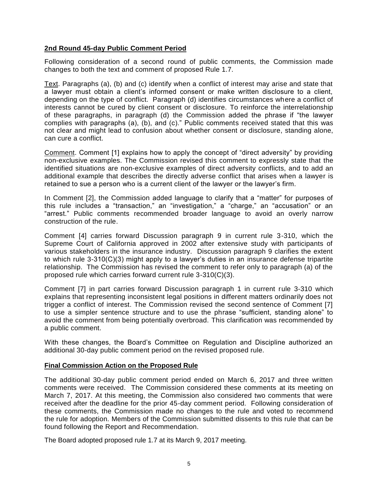#### **2nd Round 45-day Public Comment Period**

Following consideration of a second round of public comments, the Commission made changes to both the text and comment of proposed Rule 1.7.

Text. Paragraphs (a), (b) and (c) identify when a conflict of interest may arise and state that a lawyer must obtain a client's informed consent or make written disclosure to a client, depending on the type of conflict. Paragraph (d) identifies circumstances where a conflict of interests cannot be cured by client consent or disclosure. To reinforce the interrelationship of these paragraphs, in paragraph (d) the Commission added the phrase if "the lawyer complies with paragraphs (a), (b), and (c)." Public comments received stated that this was not clear and might lead to confusion about whether consent or disclosure, standing alone, can cure a conflict.

Comment. Comment [1] explains how to apply the concept of "direct adversity" by providing non-exclusive examples. The Commission revised this comment to expressly state that the identified situations are non-exclusive examples of direct adversity conflicts, and to add an additional example that describes the directly adverse conflict that arises when a lawyer is retained to sue a person who is a current client of the lawyer or the lawyer's firm.

In Comment [2], the Commission added language to clarify that a "matter" for purposes of this rule includes a "transaction," an "investigation," a "charge," an "accusation" or an "arrest." Public comments recommended broader language to avoid an overly narrow construction of the rule.

Comment [4] carries forward Discussion paragraph 9 in current rule 3-310, which the Supreme Court of California approved in 2002 after extensive study with participants of various stakeholders in the insurance industry. Discussion paragraph 9 clarifies the extent to which rule 3-310(C)(3) might apply to a lawyer's duties in an insurance defense tripartite relationship. The Commission has revised the comment to refer only to paragraph (a) of the proposed rule which carries forward current rule 3-310(C)(3).

Comment [7] in part carries forward Discussion paragraph 1 in current rule 3-310 which explains that representing inconsistent legal positions in different matters ordinarily does not trigger a conflict of interest. The Commission revised the second sentence of Comment [7] to use a simpler sentence structure and to use the phrase "sufficient, standing alone" to avoid the comment from being potentially overbroad. This clarification was recommended by a public comment.

With these changes, the Board's Committee on Regulation and Discipline authorized an additional 30-day public comment period on the revised proposed rule.

#### **Final Commission Action on the Proposed Rule**

The additional 30-day public comment period ended on March 6, 2017 and three written comments were received. The Commission considered these comments at its meeting on March 7, 2017. At this meeting, the Commission also considered two comments that were received after the deadline for the prior 45-day comment period. Following consideration of these comments, the Commission made no changes to the rule and voted to recommend the rule for adoption. Members of the Commission submitted dissents to this rule that can be found following the Report and Recommendation.

The Board adopted proposed rule 1.7 at its March 9, 2017 meeting.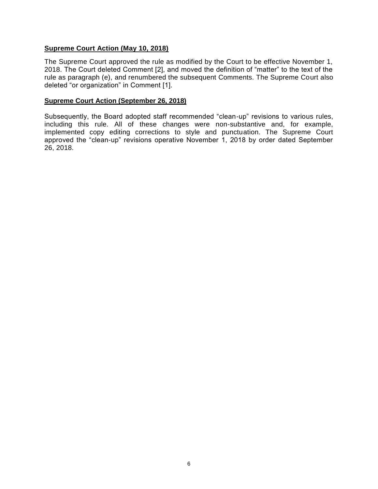### **Supreme Court Action (May 10, 2018)**

The Supreme Court approved the rule as modified by the Court to be effective November 1, 2018. The Court deleted Comment [2], and moved the definition of "matter" to the text of the rule as paragraph (e), and renumbered the subsequent Comments. The Supreme Court also deleted "or organization" in Comment [1].

#### **Supreme Court Action (September 26, 2018)**

Subsequently, the Board adopted staff recommended "clean-up" revisions to various rules, including this rule. All of these changes were non-substantive and, for example, implemented copy editing corrections to style and punctuation. The Supreme Court approved the "clean-up" revisions operative November 1, 2018 by order dated September 26, 2018.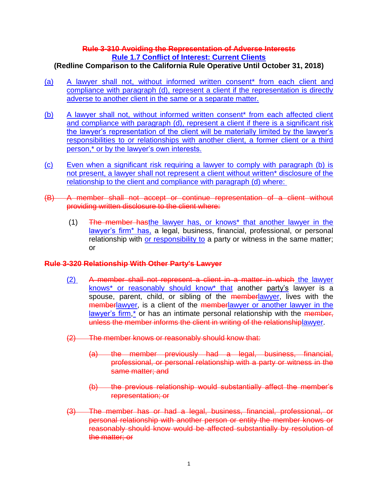# **Rule 3-310 Avoiding the Representation of Adverse Interests Rule 1.7 Conflict of Interest: Current Clients**

# **(Redline Comparison to the California Rule Operative Until October 31, 2018)**

- (a) A lawyer shall not, without informed written consent\* from each client and compliance with paragraph (d), represent a client if the representation is directly adverse to another client in the same or a separate matter.
- (b) A lawyer shall not, without informed written consent\* from each affected client and compliance with paragraph (d), represent a client if there is a significant risk the lawyer's representation of the client will be materially limited by the lawyer's responsibilities to or relationships with another client, a former client or a third person,\* or by the lawyer's own interests.
- (c) Even when a significant risk requiring a lawyer to comply with paragraph (b) is not present, a lawyer shall not represent a client without written\* disclosure of the relationship to the client and compliance with paragraph (d) where:
- (B) A member shall not accept or continue representation of a client without providing written disclosure to the client where:
	- $(1)$  The member hasthe lawyer has, or knows<sup>\*</sup> that another lawyer in the lawyer's firm\* has, a legal, business, financial, professional, or personal relationship with or responsibility to a party or witness in the same matter; or

## **Rule 3-320 Relationship With Other Party's Lawyer**

- (2) A member shall not represent a client in a matter in which the lawyer knows\* or reasonably should know\* that another party's lawyer is a spouse, parent, child, or sibling of the **memberlawyer**, lives with the memberlawyer, is a client of the memberlawyer or another lawyer in the lawyer's firm,<sup>\*</sup> or has an intimate personal relationship with the member, unless the member informs the client in writing of the relationshiplawyer.
- (2) The member knows or reasonably should know that:
	- (a) the member previously had a legal, business, financial, professional, or personal relationship with a party or witness in the same matter; and
	- (b) the previous relationship would substantially affect the member's representation; or
- (3) The member has or had a legal, business, financial, professional, or personal relationship with another person or entity the member knows or reasonably should know would be affected substantially by resolution of the matter; or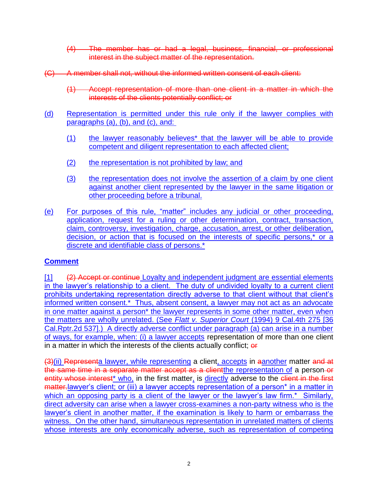- (4) The member has or had a legal, business, financial, or professional interest in the subject matter of the representation.
- (C) A member shall not, without the informed written consent of each client:
	- (1) Accept representation of more than one client in a matter in which the interests of the clients potentially conflict; or
- (d) Representation is permitted under this rule only if the lawyer complies with paragraphs (a), (b), and (c), and:
	- (1) the lawyer reasonably believes\* that the lawyer will be able to provide competent and diligent representation to each affected client;
	- (2) the representation is not prohibited by law; and
	- (3) the representation does not involve the assertion of a claim by one client against another client represented by the lawyer in the same litigation or other proceeding before a tribunal.
- (e) For purposes of this rule, "matter" includes any judicial or other proceeding, application, request for a ruling or other determination, contract, transaction, claim, controversy, investigation, charge, accusation, arrest, or other deliberation, decision, or action that is focused on the interests of specific persons,\* or a discrete and identifiable class of persons.\*

# **Comment**

[1] (2) Accept or continue Loyalty and independent judgment are essential elements in the lawyer's relationship to a client. The duty of undivided loyalty to a current client prohibits undertaking representation directly adverse to that client without that client's informed written consent.\* Thus, absent consent, a lawyer may not act as an advocate in one matter against a person<sup>\*</sup> the lawyer represents in some other matter, even when the matters are wholly unrelated. (See *Flatt v. Superior Court* (1994) 9 Cal.4th 275 [36 Cal.Rptr.2d 537].) A directly adverse conflict under paragraph (a) can arise in a number of ways, for example, when: (i) a lawyer accepts representation of more than one client in a matter in which the interests of the clients actually conflict;  $\theta$ 

(3)(ii) Representa lawyer, while representing a client, accepts in aanother matter and at the same time in a separate matter accept as a client the representation of a person-or entity whose interest<sup>\*</sup> who, in the first matter, is directly adverse to the client in the first matter-lawyer's client; or (iii) a lawyer accepts representation of a person<sup>\*</sup> in a matter in which an opposing party is a client of the lawyer or the lawyer's law firm.\* Similarly, direct adversity can arise when a lawyer cross-examines a non-party witness who is the lawyer's client in another matter, if the examination is likely to harm or embarrass the witness. On the other hand, simultaneous representation in unrelated matters of clients whose interests are only economically adverse, such as representation of competing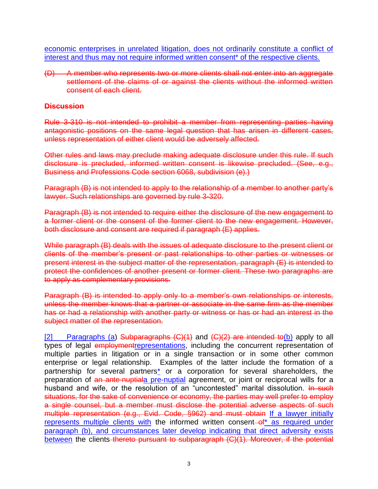economic enterprises in unrelated litigation, does not ordinarily constitute a conflict of interest and thus may not require informed written consent\* of the respective clients.

(D) A member who represents two or more clients shall not enter into an aggregate settlement of the claims of or against the clients without the informed written consent of each client.

### **Discussion**

Rule 3-310 is not intended to prohibit a member from representing parties having antagonistic positions on the same legal question that has arisen in different cases, unless representation of either client would be adversely affected.

Other rules and laws may preclude making adequate disclosure under this rule. If such disclosure is precluded, informed written consent is likewise precluded. (See, e.g., Business and Professions Code section 6068, subdivision (e).)

Paragraph (B) is not intended to apply to the relationship of a member to another party's lawyer. Such relationships are governed by rule 3-320.

Paragraph (B) is not intended to require either the disclosure of the new engagement to a former client or the consent of the former client to the new engagement. However, both disclosure and consent are required if paragraph (E) applies.

While paragraph (B) deals with the issues of adequate disclosure to the present client or clients of the member's present or past relationships to other parties or witnesses or present interest in the subject matter of the representation, paragraph (E) is intended to protect the confidences of another present or former client. These two paragraphs are to apply as complementary provisions.

Paragraph (B) is intended to apply only to a member's own relationships or interests, unless the member knows that a partner or associate in the same firm as the member has or had a relationship with another party or witness or has or had an interest in the subject matter of the representation.

[2] Paragraphs (a) Subparagraphs  $(C)(1)$  and  $(C)(2)$  are intended to(b) apply to all types of legal employmentrepresentations, including the concurrent representation of multiple parties in litigation or in a single transaction or in some other common enterprise or legal relationship. Examples of the latter include the formation of a partnership for several partners<sup>\*</sup> or a corporation for several shareholders, the preparation of an ante-nuptiala pre-nuptial agreement, or joint or reciprocal wills for a husband and wife, or the resolution of an "uncontested" marital dissolution. In such situations, for the sake of convenience or economy, the parties may well prefer to employ a single counsel, but a member must disclose the potential adverse aspects of such multiple representation (e.g., Evid. Code, §962) and must obtain If a lawyer initially represents multiple clients with the informed written consent–of\* as required under paragraph (b), and circumstances later develop indicating that direct adversity exists between the clients thereto pursuant to subparagraph (C)(1). Moreover, if the potential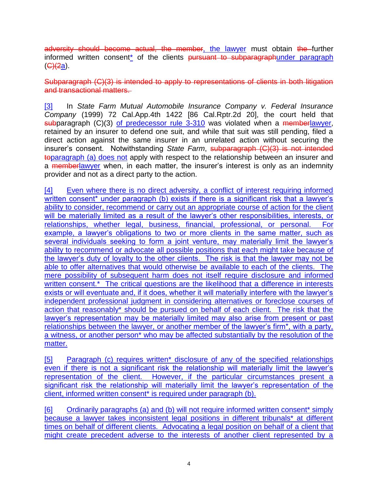adversity should become actual, the member, the lawyer must obtain the further informed written consent<sup>\*</sup> of the clients **pursuant to subparagraphunder** paragraph  $(G)(2a)$ .

Subparagraph (C)(3) is intended to apply to representations of clients in both litigation and transactional matters.

[3] In *State Farm Mutual Automobile Insurance Company v. Federal Insurance Company* (1999) 72 Cal.App.4th 1422 [86 Cal.Rptr.2d 20], the court held that subparagraph (C)(3) of predecessor rule 3-310 was violated when a memberlawyer, retained by an insurer to defend one suit, and while that suit was still pending, filed a direct action against the same insurer in an unrelated action without securing the insurer's consent. Notwithstanding *State Farm*, subparagraph (C)(3) is not intended toparagraph (a) does not apply with respect to the relationship between an insurer and a memberlawyer when, in each matter, the insurer's interest is only as an indemnity provider and not as a direct party to the action.

[4] Even where there is no direct adversity, a conflict of interest requiring informed written consent<sup>\*</sup> under paragraph (b) exists if there is a significant risk that a lawyer's ability to consider, recommend or carry out an appropriate course of action for the client will be materially limited as a result of the lawyer's other responsibilities, interests, or relationships, whether legal, business, financial, professional, or personal. For example, a lawyer's obligations to two or more clients in the same matter, such as several individuals seeking to form a joint venture, may materially limit the lawyer's ability to recommend or advocate all possible positions that each might take because of the lawyer's duty of loyalty to the other clients. The risk is that the lawyer may not be able to offer alternatives that would otherwise be available to each of the clients. The mere possibility of subsequent harm does not itself require disclosure and informed written consent.\* The critical questions are the likelihood that a difference in interests exists or will eventuate and, if it does, whether it will materially interfere with the lawyer's independent professional judgment in considering alternatives or foreclose courses of action that reasonably\* should be pursued on behalf of each client. The risk that the lawyer's representation may be materially limited may also arise from present or past relationships between the lawyer, or another member of the lawyer's firm\*, with a party, a witness, or another person\* who may be affected substantially by the resolution of the matter.

[5] Paragraph (c) requires written<sup>\*</sup> disclosure of any of the specified relationships even if there is not a significant risk the relationship will materially limit the lawyer's representation of the client. However, if the particular circumstances present a significant risk the relationship will materially limit the lawyer's representation of the client, informed written consent\* is required under paragraph (b).

[6] Ordinarily paragraphs (a) and (b) will not require informed written consent\* simply because a lawyer takes inconsistent legal positions in different tribunals\* at different times on behalf of different clients. Advocating a legal position on behalf of a client that might create precedent adverse to the interests of another client represented by a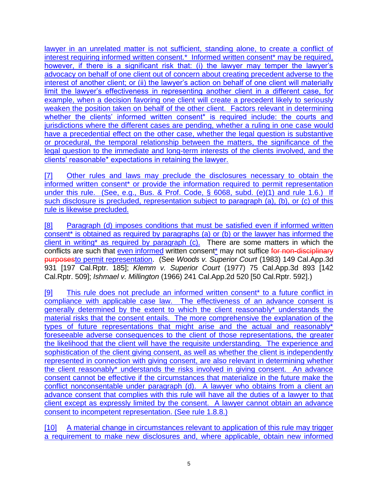lawyer in an unrelated matter is not sufficient, standing alone, to create a conflict of interest requiring informed written consent.\* Informed written consent\* may be required, however, if there is a significant risk that: (i) the lawyer may temper the lawyer's advocacy on behalf of one client out of concern about creating precedent adverse to the interest of another client; or (ii) the lawyer's action on behalf of one client will materially limit the lawyer's effectiveness in representing another client in a different case, for example, when a decision favoring one client will create a precedent likely to seriously weaken the position taken on behalf of the other client. Factors relevant in determining whether the clients' informed written consent<sup>\*</sup> is required include: the courts and jurisdictions where the different cases are pending, whether a ruling in one case would have a precedential effect on the other case, whether the legal question is substantive or procedural, the temporal relationship between the matters, the significance of the legal question to the immediate and long-term interests of the clients involved, and the clients' reasonable\* expectations in retaining the lawyer.

[7] Other rules and laws may preclude the disclosures necessary to obtain the informed written consent\* or provide the information required to permit representation under this rule. (See, e.g., Bus. & Prof. Code, § 6068, subd. (e)(1) and rule 1.6.) If such disclosure is precluded, representation subject to paragraph (a), (b), or (c) of this rule is likewise precluded.

[8] Paragraph (d) imposes conditions that must be satisfied even if informed written consent\* is obtained as required by paragraphs (a) or (b) or the lawyer has informed the client in writing\* as required by paragraph (c). There are some matters in which the conflicts are such that even informed written consent<sup>\*</sup> may not suffice for non-disciplinary purposesto permit representation. (See *Woods v. Superior Court* (1983) 149 Cal.App.3d 931 [197 Cal.Rptr. 185]; *Klemm v. Superior Court* (1977) 75 Cal.App.3d 893 [142 Cal.Rptr. 509]; *Ishmael v. Millington* (1966) 241 Cal.App.2d 520 [50 Cal.Rptr. 592].)

[9] This rule does not preclude an informed written consent\* to a future conflict in compliance with applicable case law. The effectiveness of an advance consent is generally determined by the extent to which the client reasonably\* understands the material risks that the consent entails. The more comprehensive the explanation of the types of future representations that might arise and the actual and reasonably\* foreseeable adverse consequences to the client of those representations, the greater the likelihood that the client will have the requisite understanding. The experience and sophistication of the client giving consent, as well as whether the client is independently represented in connection with giving consent, are also relevant in determining whether the client reasonably\* understands the risks involved in giving consent. An advance consent cannot be effective if the circumstances that materialize in the future make the conflict nonconsentable under paragraph (d). A lawyer who obtains from a client an advance consent that complies with this rule will have all the duties of a lawyer to that client except as expressly limited by the consent. A lawyer cannot obtain an advance consent to incompetent representation. (See rule 1.8.8.)

[10] A material change in circumstances relevant to application of this rule may trigger a requirement to make new disclosures and, where applicable, obtain new informed